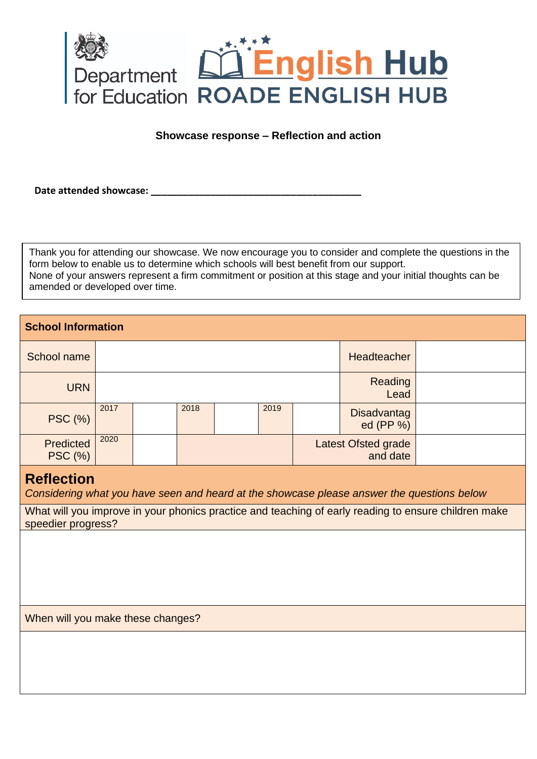

## **Showcase response – Reflection and action**

Date attended showcase: **We are also asset to all the set of the set of the set of the set of the set of the set of the set of the set of the set of the set of the set of the set of the set of the set of the set of the set** 

Thank you for attending our showcase. We now encourage you to consider and complete the questions in the form below to enable us to determine which schools will best benefit from our support. None of your answers represent a firm commitment or position at this stage and your initial thoughts can be amended or developed over time.

## **School Information**  School name **Headteacher** Headteacher **Headteacher** Headteacher **Headteacher** URN Reading Lead PSC (%) 2017 2018 2019 **Disadvantag** ed (PP %) Predicted PSC (%) 2020 **Latest Ofsted grade** and date

## **Reflection**

*Considering what you have seen and heard at the showcase please answer the questions below*

What will you improve in your phonics practice and teaching of early reading to ensure children make speedier progress?

When will you make these changes?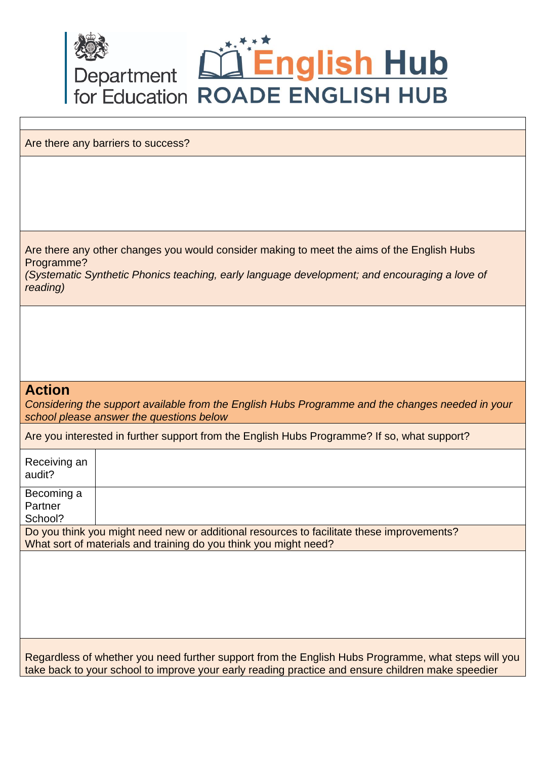

Are there any barriers to success?

Are there any other changes you would consider making to meet the aims of the English Hubs Programme?

*(Systematic Synthetic Phonics teaching, early language development; and encouraging a love of reading)*

## **Action**

*Considering the support available from the English Hubs Programme and the changes needed in your school please answer the questions below*

Are you interested in further support from the English Hubs Programme? If so, what support?

| Receiving an<br>audit?                                                                    |  |  |
|-------------------------------------------------------------------------------------------|--|--|
| Becoming a                                                                                |  |  |
| Partner                                                                                   |  |  |
| School?                                                                                   |  |  |
| Do you think you might need new or additional resources to facilitate these improvements? |  |  |
| What sort of materials and training do you think you might need?                          |  |  |
|                                                                                           |  |  |
|                                                                                           |  |  |
|                                                                                           |  |  |
|                                                                                           |  |  |
|                                                                                           |  |  |
|                                                                                           |  |  |
|                                                                                           |  |  |

Regardless of whether you need further support from the English Hubs Programme, what steps will you take back to your school to improve your early reading practice and ensure children make speedier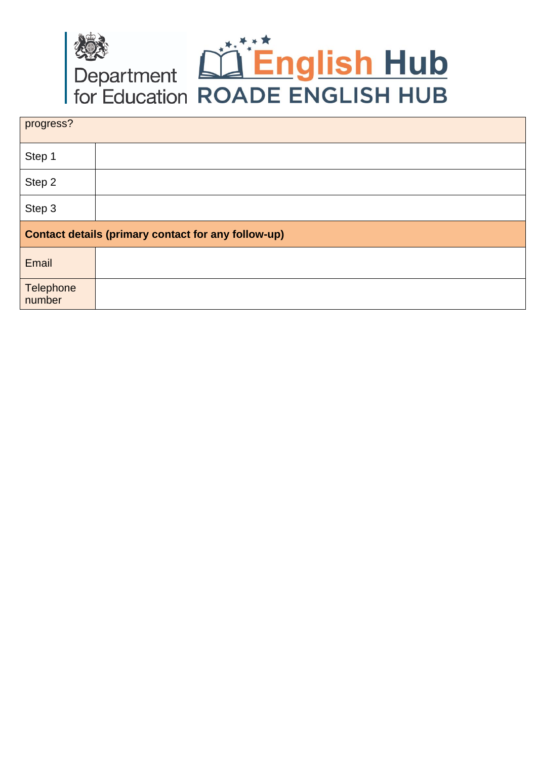

| progress?                                           |  |
|-----------------------------------------------------|--|
| Step 1                                              |  |
| Step 2                                              |  |
| Step 3                                              |  |
| Contact details (primary contact for any follow-up) |  |
| Email                                               |  |
| <b>Telephone</b><br>number                          |  |